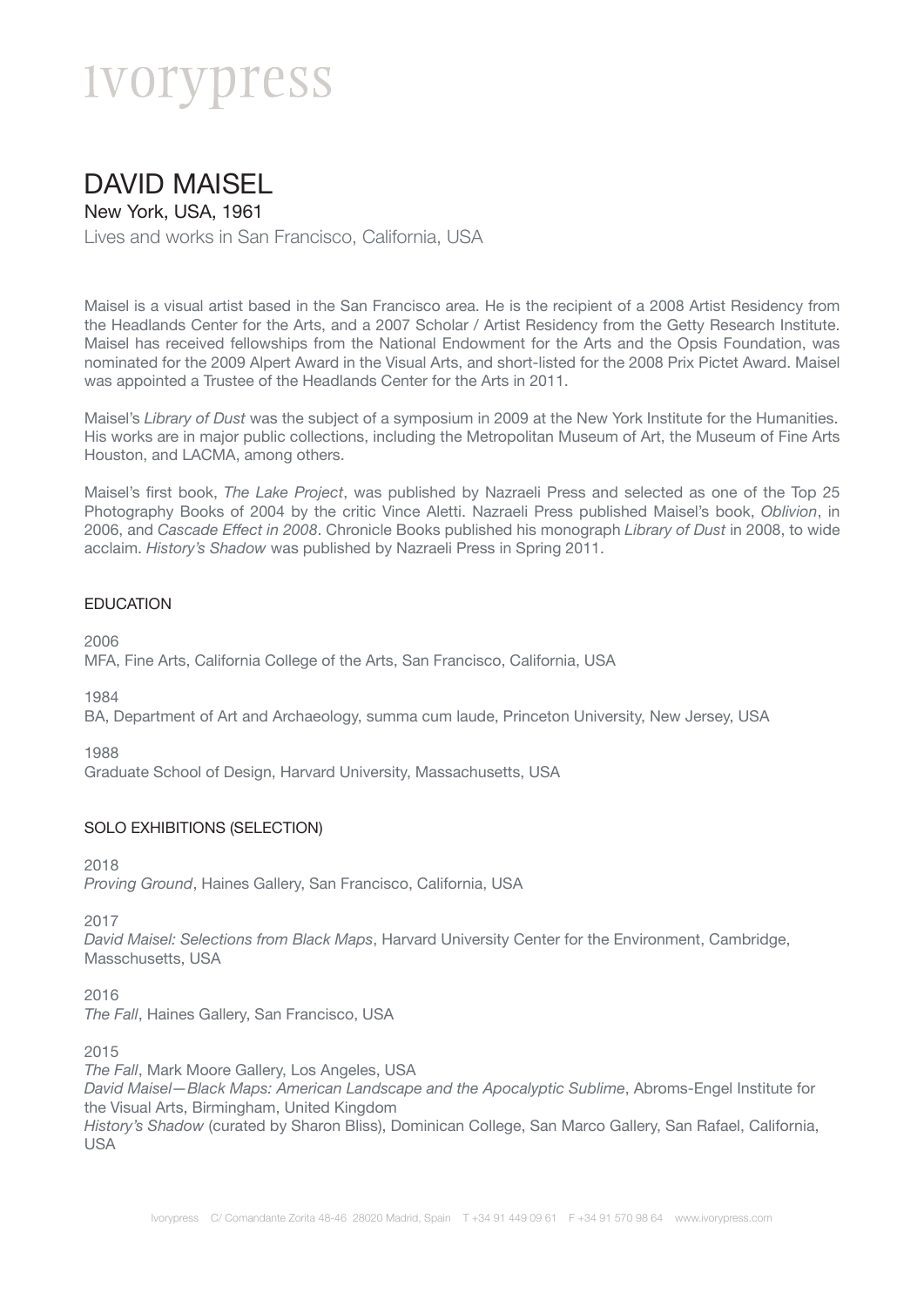### DAVID MAISEL

New York, USA, 1961

Lives and works in San Francisco, California, USA

Maisel is a visual artist based in the San Francisco area. He is the recipient of a 2008 Artist Residency from the Headlands Center for the Arts, and a 2007 Scholar / Artist Residency from the Getty Research Institute. Maisel has received fellowships from the National Endowment for the Arts and the Opsis Foundation, was nominated for the 2009 Alpert Award in the Visual Arts, and short-listed for the 2008 Prix Pictet Award. Maisel was appointed a Trustee of the Headlands Center for the Arts in 2011.

Maisel's *Library of Dust* was the subject of a symposium in 2009 at the New York Institute for the Humanities. His works are in major public collections, including the Metropolitan Museum of Art, the Museum of Fine Arts Houston, and LACMA, among others.

Maisel's first book, *The Lake Project*, was published by Nazraeli Press and selected as one of the Top 25 Photography Books of 2004 by the critic Vince Aletti. Nazraeli Press published Maisel's book, *Oblivion*, in 2006, and *Cascade Effect in 2008*. Chronicle Books published his monograph *Library of Dust* in 2008, to wide acclaim. *History's Shadow* was published by Nazraeli Press in Spring 2011.

#### **EDUCATION**

2006

MFA, Fine Arts, California College of the Arts, San Francisco, California, USA

1984

BA, Department of Art and Archaeology, summa cum laude, Princeton University, New Jersey, USA

1988

Graduate School of Design, Harvard University, Massachusetts, USA

#### SOLO EXHIBITIONS (SELECTION)

2018

*Proving Ground*, Haines Gallery, San Francisco, California, USA

2017

*David Maisel: Selections from Black Maps*, Harvard University Center for the Environment, Cambridge, Masschusetts, USA

2016

*The Fall*, Haines Gallery, San Francisco, USA

2015

*The Fall*, Mark Moore Gallery, Los Angeles, USA

*David Maisel—Black Maps: American Landscape and the Apocalyptic Sublime*, Abroms-Engel Institute for the Visual Arts, Birmingham, United Kingdom

*History's Shadow* (curated by Sharon Bliss), Dominican College, San Marco Gallery, San Rafael, California, USA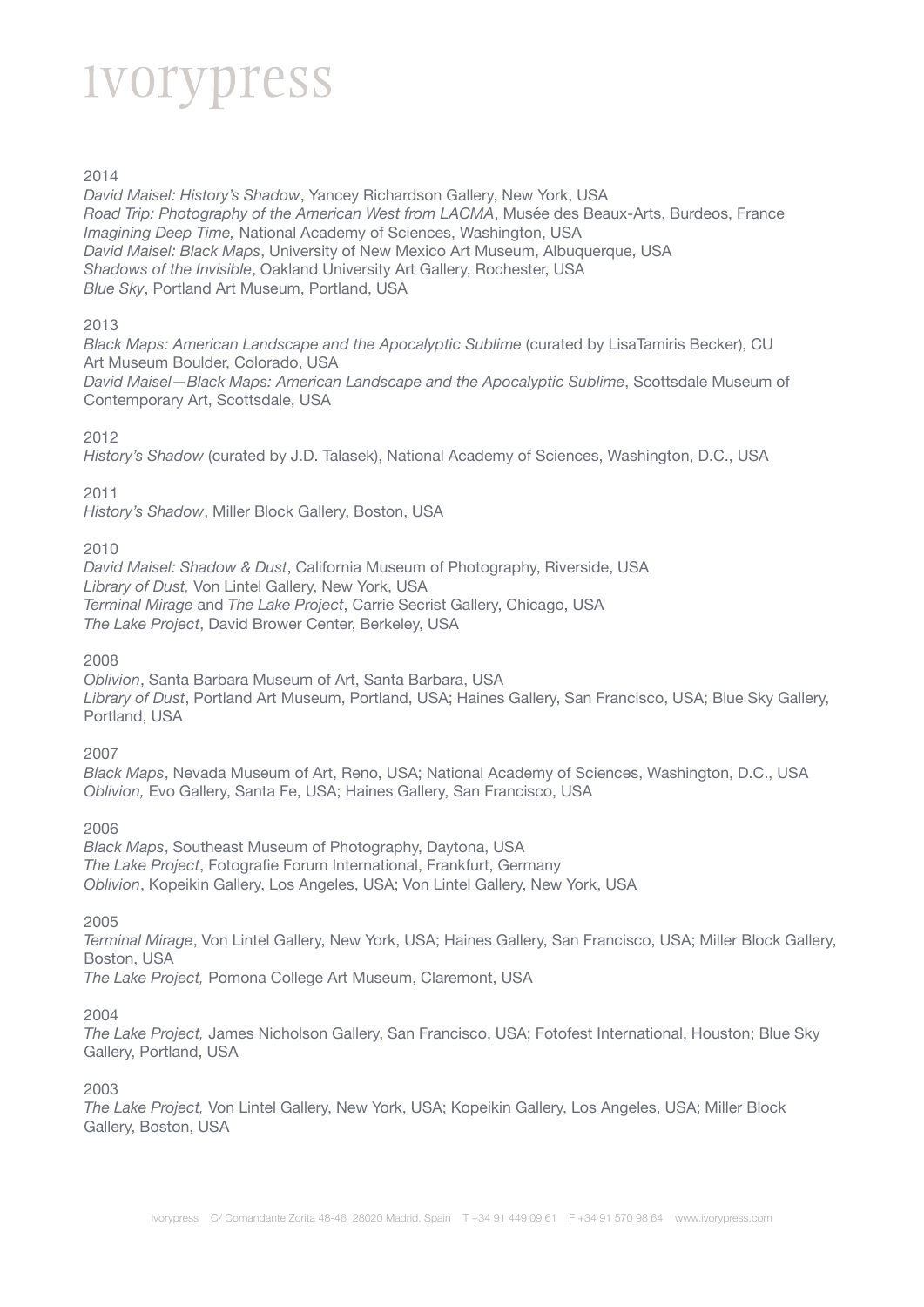#### 2014

*David Maisel: History's Shadow*, Yancey Richardson Gallery, New York, USA *Road Trip: Photography of the American West from LACMA*, Musée des Beaux-Arts, Burdeos, France *Imagining Deep Time,* National Academy of Sciences, Washington, USA *David Maisel: Black Maps*, University of New Mexico Art Museum, Albuquerque, USA *Shadows of the Invisible*, Oakland University Art Gallery, Rochester, USA *Blue Sky*, Portland Art Museum, Portland, USA

#### 2013

*Black Maps: American Landscape and the Apocalyptic Sublime* (curated by LisaTamiris Becker), CU Art Museum Boulder, Colorado, USA *David Maisel—Black Maps: American Landscape and the Apocalyptic Sublime*, Scottsdale Museum of Contemporary Art, Scottsdale, USA

#### 2012

*History's Shadow* (curated by J.D. Talasek), National Academy of Sciences, Washington, D.C., USA

2011

*History's Shadow*, Miller Block Gallery, Boston, USA

#### 2010

*David Maisel: Shadow & Dust*, California Museum of Photography, Riverside, USA *Library of Dust,* Von Lintel Gallery, New York, USA *Terminal Mirage* and *The Lake Project*, Carrie Secrist Gallery, Chicago, USA *The Lake Project*, David Brower Center, Berkeley, USA

2008

*Oblivion*, Santa Barbara Museum of Art, Santa Barbara, USA *Library of Dust*, Portland Art Museum, Portland, USA; Haines Gallery, San Francisco, USA; Blue Sky Gallery, Portland, USA

2007

*Black Maps*, Nevada Museum of Art, Reno, USA; National Academy of Sciences, Washington, D.C., USA *Oblivion,* Evo Gallery, Santa Fe, USA; Haines Gallery, San Francisco, USA

2006

*Black Maps*, Southeast Museum of Photography, Daytona, USA *The Lake Project*, Fotografie Forum International, Frankfurt, Germany *Oblivion*, Kopeikin Gallery, Los Angeles, USA; Von Lintel Gallery, New York, USA

2005

*Terminal Mirage*, Von Lintel Gallery, New York, USA; Haines Gallery, San Francisco, USA; Miller Block Gallery, Boston, USA

*The Lake Project,* Pomona College Art Museum, Claremont, USA

2004

*The Lake Project,* James Nicholson Gallery, San Francisco, USA; Fotofest International, Houston; Blue Sky Gallery, Portland, USA

2003

*The Lake Project,* Von Lintel Gallery, New York, USA; Kopeikin Gallery, Los Angeles, USA; Miller Block Gallery, Boston, USA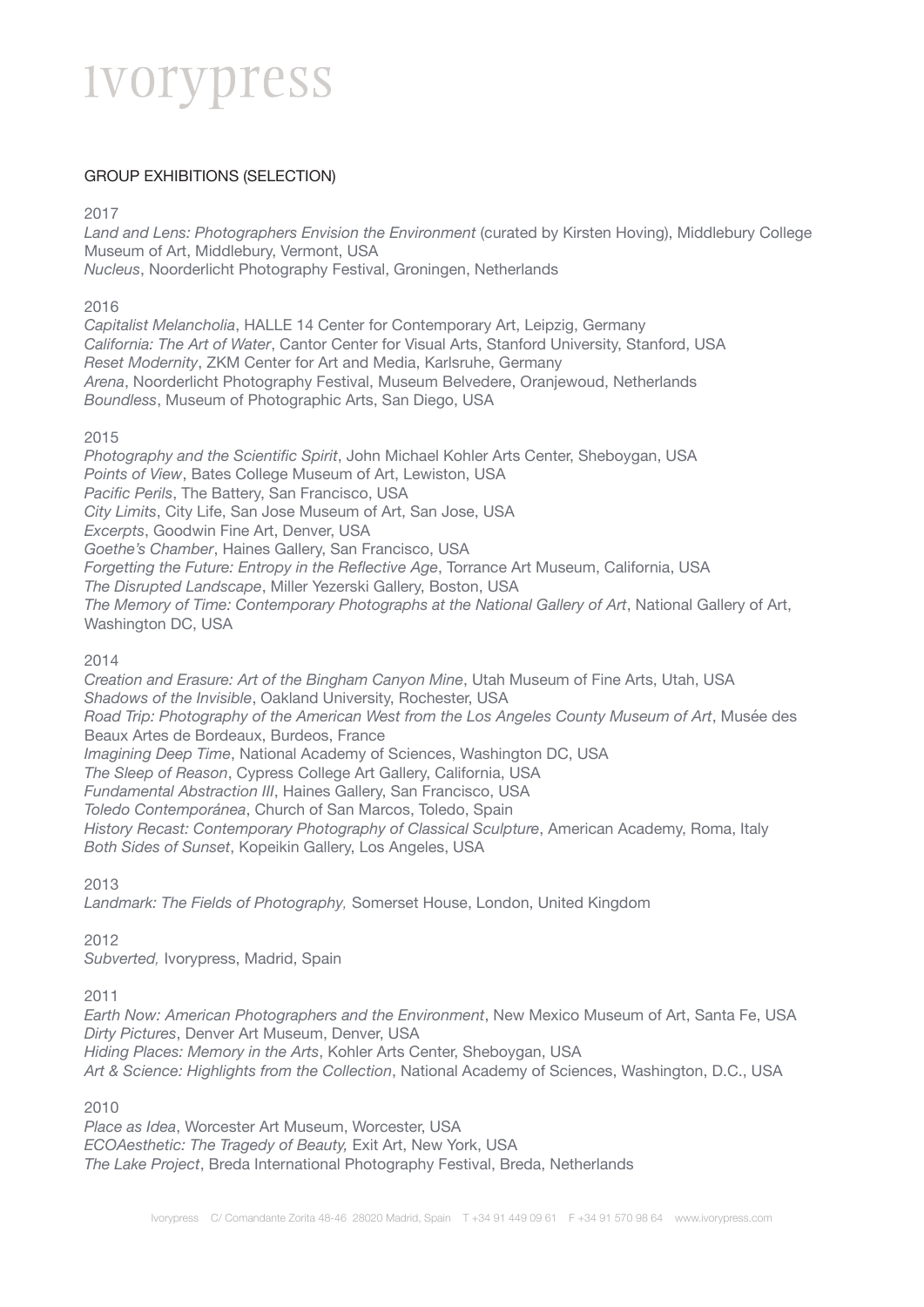#### GROUP EXHIBITIONS (SELECTION)

2017

*Land and Lens: Photographers Envision the Environment* (curated by Kirsten Hoving), Middlebury College Museum of Art, Middlebury, Vermont, USA *Nucleus*, Noorderlicht Photography Festival, Groningen, Netherlands

2016

*Capitalist Melancholia*, HALLE 14 Center for Contemporary Art, Leipzig, Germany *California: The Art of Water*, Cantor Center for Visual Arts, Stanford University, Stanford, USA *Reset Modernity*, ZKM Center for Art and Media, Karlsruhe, Germany *Arena*, Noorderlicht Photography Festival, Museum Belvedere, Oranjewoud, Netherlands *Boundless*, Museum of Photographic Arts, San Diego, USA

2015

*Photography and the Scientific Spirit*, John Michael Kohler Arts Center, Sheboygan, USA *Points of View*, Bates College Museum of Art, Lewiston, USA *Pacific Perils*, The Battery, San Francisco, USA *City Limits*, City Life, San Jose Museum of Art, San Jose, USA *Excerpts*, Goodwin Fine Art, Denver, USA *Goethe's Chamber*, Haines Gallery, San Francisco, USA *Forgetting the Future: Entropy in the Reflective Age*, Torrance Art Museum, California, USA *The Disrupted Landscape*, Miller Yezerski Gallery, Boston, USA *The Memory of Time: Contemporary Photographs at the National Gallery of Art*, National Gallery of Art, Washington DC, USA

2014

*Creation and Erasure: Art of the Bingham Canyon Mine*, Utah Museum of Fine Arts, Utah, USA *Shadows of the Invisible*, Oakland University, Rochester, USA *Road Trip: Photography of the American West from the Los Angeles County Museum of Art*, Musée des Beaux Artes de Bordeaux, Burdeos, France *Imagining Deep Time*, National Academy of Sciences, Washington DC, USA *The Sleep of Reason*, Cypress College Art Gallery, California, USA *Fundamental Abstraction III*, Haines Gallery, San Francisco, USA *Toledo Contemporánea*, Church of San Marcos, Toledo, Spain *History Recast: Contemporary Photography of Classical Sculpture*, American Academy, Roma, Italy *Both Sides of Sunset*, Kopeikin Gallery, Los Angeles, USA

2013

*Landmark: The Fields of Photography,* Somerset House, London, United Kingdom

2012

*Subverted,* Ivorypress, Madrid, Spain

2011

*Earth Now: American Photographers and the Environment*, New Mexico Museum of Art, Santa Fe, USA *Dirty Pictures*, Denver Art Museum, Denver, USA *Hiding Places: Memory in the Arts*, Kohler Arts Center, Sheboygan, USA *Art & Science: Highlights from the Collection*, National Academy of Sciences, Washington, D.C., USA

2010

*Place as Idea*, Worcester Art Museum, Worcester, USA *ECOAesthetic: The Tragedy of Beauty,* Exit Art, New York, USA *The Lake Project*, Breda International Photography Festival, Breda, Netherlands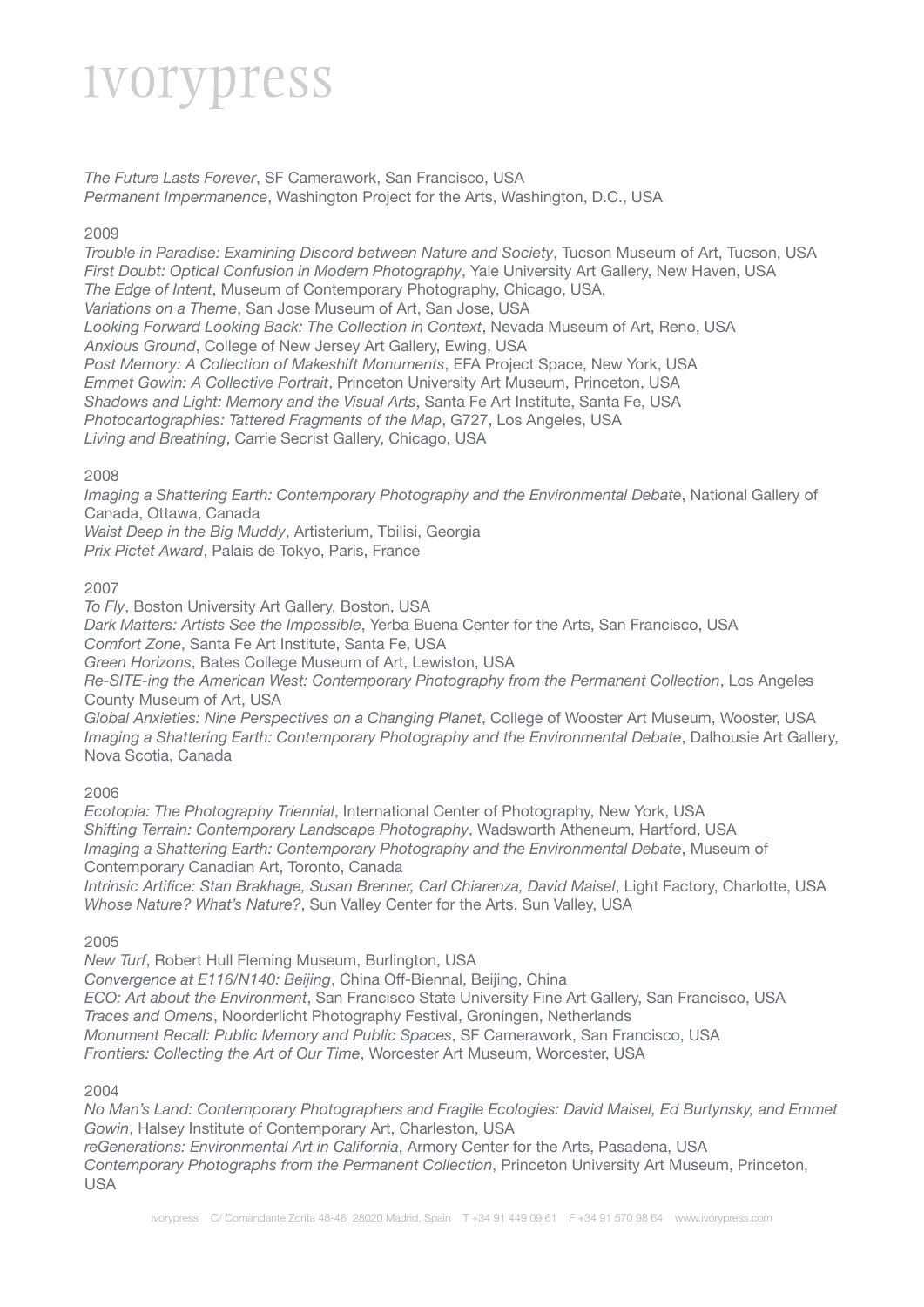*The Future Lasts Forever*, SF Camerawork, San Francisco, USA *Permanent Impermanence*, Washington Project for the Arts, Washington, D.C., USA

#### 2009

*Trouble in Paradise: Examining Discord between Nature and Society*, Tucson Museum of Art, Tucson, USA *First Doubt: Optical Confusion in Modern Photography*, Yale University Art Gallery, New Haven, USA *The Edge of Intent*, Museum of Contemporary Photography, Chicago, USA, *Variations on a Theme*, San Jose Museum of Art, San Jose, USA *Looking Forward Looking Back: The Collection in Context*, Nevada Museum of Art, Reno, USA *Anxious Ground*, College of New Jersey Art Gallery, Ewing, USA *Post Memory: A Collection of Makeshift Monuments*, EFA Project Space, New York, USA *Emmet Gowin: A Collective Portrait*, Princeton University Art Museum, Princeton, USA *Shadows and Light: Memory and the Visual Arts*, Santa Fe Art Institute, Santa Fe, USA *Photocartographies: Tattered Fragments of the Map*, G727, Los Angeles, USA *Living and Breathing*, Carrie Secrist Gallery, Chicago, USA

#### 2008

*Imaging a Shattering Earth: Contemporary Photography and the Environmental Debate, National Gallery of* Canada, Ottawa, Canada

*Waist Deep in the Big Muddy*, Artisterium, Tbilisi, Georgia *Prix Pictet Award*, Palais de Tokyo, Paris, France

#### 2007

*To Fly*, Boston University Art Gallery, Boston, USA

*Dark Matters: Artists See the Impossible*, Yerba Buena Center for the Arts, San Francisco, USA

*Comfort Zone*, Santa Fe Art Institute, Santa Fe, USA

*Green Horizons*, Bates College Museum of Art, Lewiston, USA

*Re-SITE-ing the American West: Contemporary Photography from the Permanent Collection*, Los Angeles County Museum of Art, USA

*Global Anxieties: Nine Perspectives on a Changing Planet*, College of Wooster Art Museum, Wooster, USA *Imaging a Shattering Earth: Contemporary Photography and the Environmental Debate*, Dalhousie Art Gallery, Nova Scotia, Canada

#### 2006

*Ecotopia: The Photography Triennial*, International Center of Photography, New York, USA *Shifting Terrain: Contemporary Landscape Photography*, Wadsworth Atheneum, Hartford, USA *Imaging a Shattering Earth: Contemporary Photography and the Environmental Debate*, Museum of Contemporary Canadian Art, Toronto, Canada

*Intrinsic Artifice: Stan Brakhage, Susan Brenner, Carl Chiarenza, David Maisel*, Light Factory, Charlotte, USA *Whose Nature? What's Nature?*, Sun Valley Center for the Arts, Sun Valley, USA

#### 2005

*New Turf*, Robert Hull Fleming Museum, Burlington, USA *Convergence at E116/N140: Beijing*, China Off-Biennal, Beijing, China *ECO: Art about the Environment*, San Francisco State University Fine Art Gallery, San Francisco, USA *Traces and Omens*, Noorderlicht Photography Festival, Groningen, Netherlands *Monument Recall: Public Memory and Public Spaces*, SF Camerawork, San Francisco, USA *Frontiers: Collecting the Art of Our Time*, Worcester Art Museum, Worcester, USA

#### 2004

*No Man's Land: Contemporary Photographers and Fragile Ecologies: David Maisel, Ed Burtynsky, and Emmet Gowin*, Halsey Institute of Contemporary Art, Charleston, USA *reGenerations: Environmental Art in California*, Armory Center for the Arts, Pasadena, USA *Contemporary Photographs from the Permanent Collection*, Princeton University Art Museum, Princeton,

USA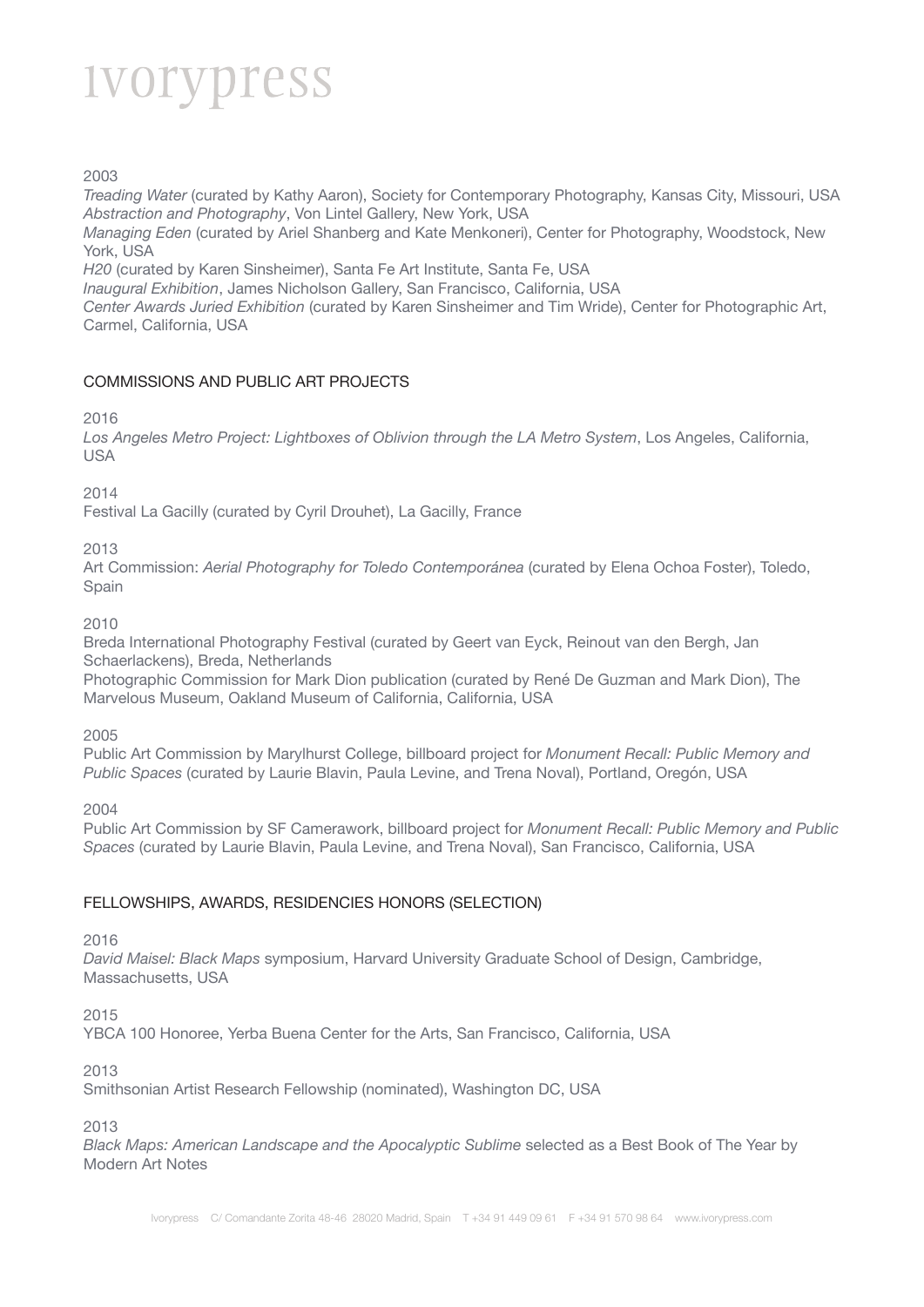2003

*Treading Water* (curated by Kathy Aaron), Society for Contemporary Photography, Kansas City, Missouri, USA *Abstraction and Photography*, Von Lintel Gallery, New York, USA

*Managing Eden* (curated by Ariel Shanberg and Kate Menkoneri), Center for Photography, Woodstock, New York, USA

*H20* (curated by Karen Sinsheimer), Santa Fe Art Institute, Santa Fe, USA

*Inaugural Exhibition*, James Nicholson Gallery, San Francisco, California, USA

*Center Awards Juried Exhibition* (curated by Karen Sinsheimer and Tim Wride), Center for Photographic Art, Carmel, California, USA

#### COMMISSIONS AND PUBLIC ART PROJECTS

2016

*Los Angeles Metro Project: Lightboxes of Oblivion through the LA Metro System*, Los Angeles, California, USA

2014

Festival La Gacilly (curated by Cyril Drouhet), La Gacilly, France

2013

Art Commission: *Aerial Photography for Toledo Contemporánea* (curated by Elena Ochoa Foster), Toledo, Spain

2010

Breda International Photography Festival (curated by Geert van Eyck, Reinout van den Bergh, Jan Schaerlackens), Breda, Netherlands

Photographic Commission for Mark Dion publication (curated by René De Guzman and Mark Dion), The Marvelous Museum, Oakland Museum of California, California, USA

2005

Public Art Commission by Marylhurst College, billboard project for *Monument Recall: Public Memory and Public Spaces* (curated by Laurie Blavin, Paula Levine, and Trena Noval), Portland, Oregón, USA

2004

Public Art Commission by SF Camerawork, billboard project for *Monument Recall: Public Memory and Public Spaces* (curated by Laurie Blavin, Paula Levine, and Trena Noval), San Francisco, California, USA

#### FELLOWSHIPS, AWARDS, RESIDENCIES HONORS (SELECTION)

2016

*David Maisel: Black Maps* symposium, Harvard University Graduate School of Design, Cambridge, Massachusetts, USA

2015

YBCA 100 Honoree, Yerba Buena Center for the Arts, San Francisco, California, USA

2013

Smithsonian Artist Research Fellowship (nominated), Washington DC, USA

2013

*Black Maps: American Landscape and the Apocalyptic Sublime* selected as a Best Book of The Year by Modern Art Notes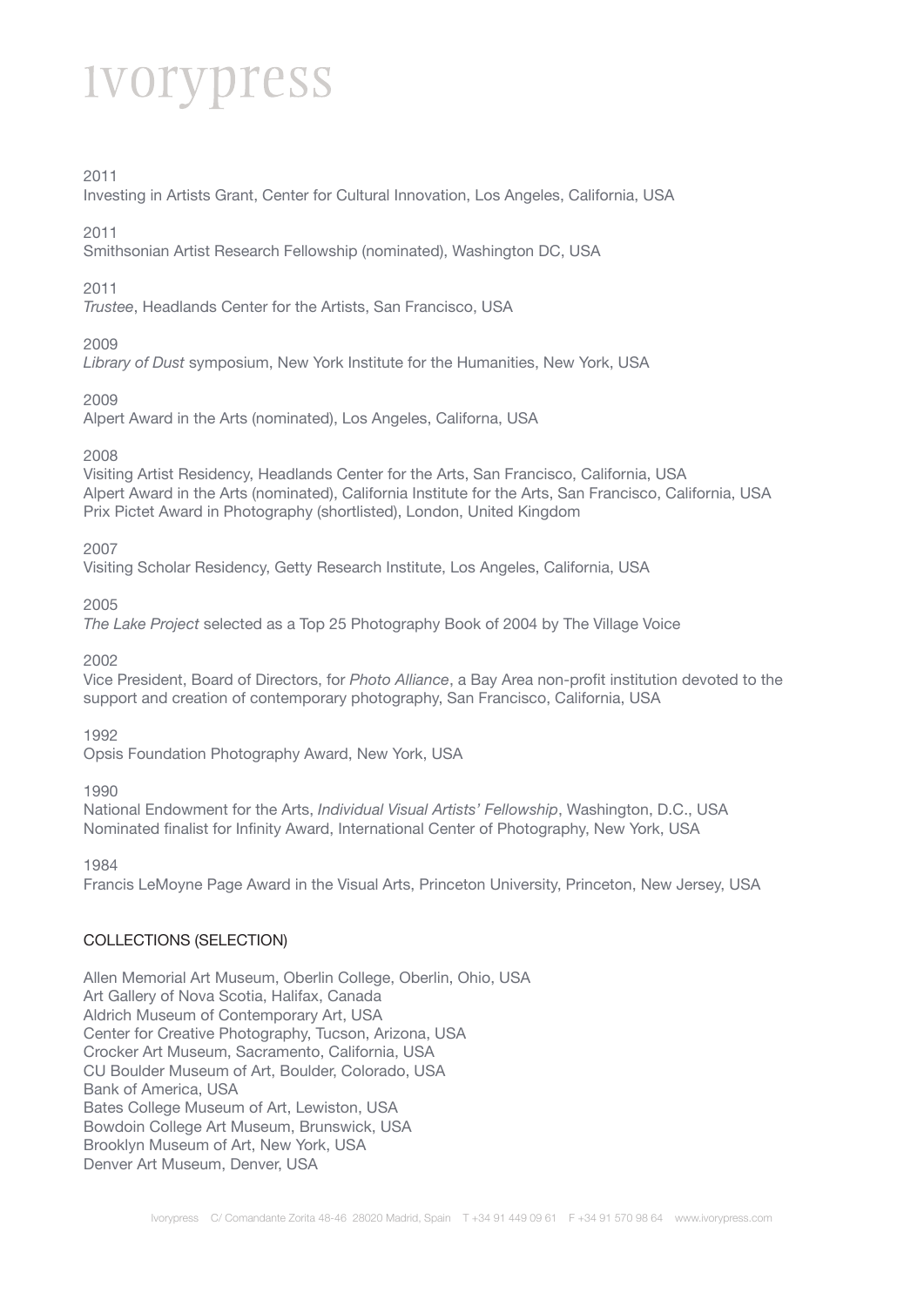#### 2011

Investing in Artists Grant, Center for Cultural Innovation, Los Angeles, California, USA

#### 2011

Smithsonian Artist Research Fellowship (nominated), Washington DC, USA

#### 2011

*Trustee*, Headlands Center for the Artists, San Francisco, USA

#### 2009

*Library of Dust* symposium, New York Institute for the Humanities, New York, USA

#### 2009

Alpert Award in the Arts (nominated), Los Angeles, Californa, USA

#### 2008

Visiting Artist Residency, Headlands Center for the Arts, San Francisco, California, USA Alpert Award in the Arts (nominated), California Institute for the Arts, San Francisco, California, USA Prix Pictet Award in Photography (shortlisted), London, United Kingdom

#### 2007

Visiting Scholar Residency, Getty Research Institute, Los Angeles, California, USA

#### 2005

*The Lake Project* selected as a Top 25 Photography Book of 2004 by The Village Voice

#### 2002

Vice President, Board of Directors, for *Photo Alliance*, a Bay Area non-profit institution devoted to the support and creation of contemporary photography, San Francisco, California, USA

#### 1992

Opsis Foundation Photography Award, New York, USA

#### 1990

National Endowment for the Arts, *Individual Visual Artists' Fellowship*, Washington, D.C., USA Nominated finalist for Infinity Award, International Center of Photography, New York, USA

1984

Francis LeMoyne Page Award in the Visual Arts, Princeton University, Princeton, New Jersey, USA

#### COLLECTIONS (SELECTION)

Allen Memorial Art Museum, Oberlin College, Oberlin, Ohio, USA Art Gallery of Nova Scotia, Halifax, Canada Aldrich Museum of Contemporary Art, USA Center for Creative Photography, Tucson, Arizona, USA Crocker Art Museum, Sacramento, California, USA CU Boulder Museum of Art, Boulder, Colorado, USA Bank of America, USA Bates College Museum of Art, Lewiston, USA Bowdoin College Art Museum, Brunswick, USA Brooklyn Museum of Art, New York, USA Denver Art Museum, Denver, USA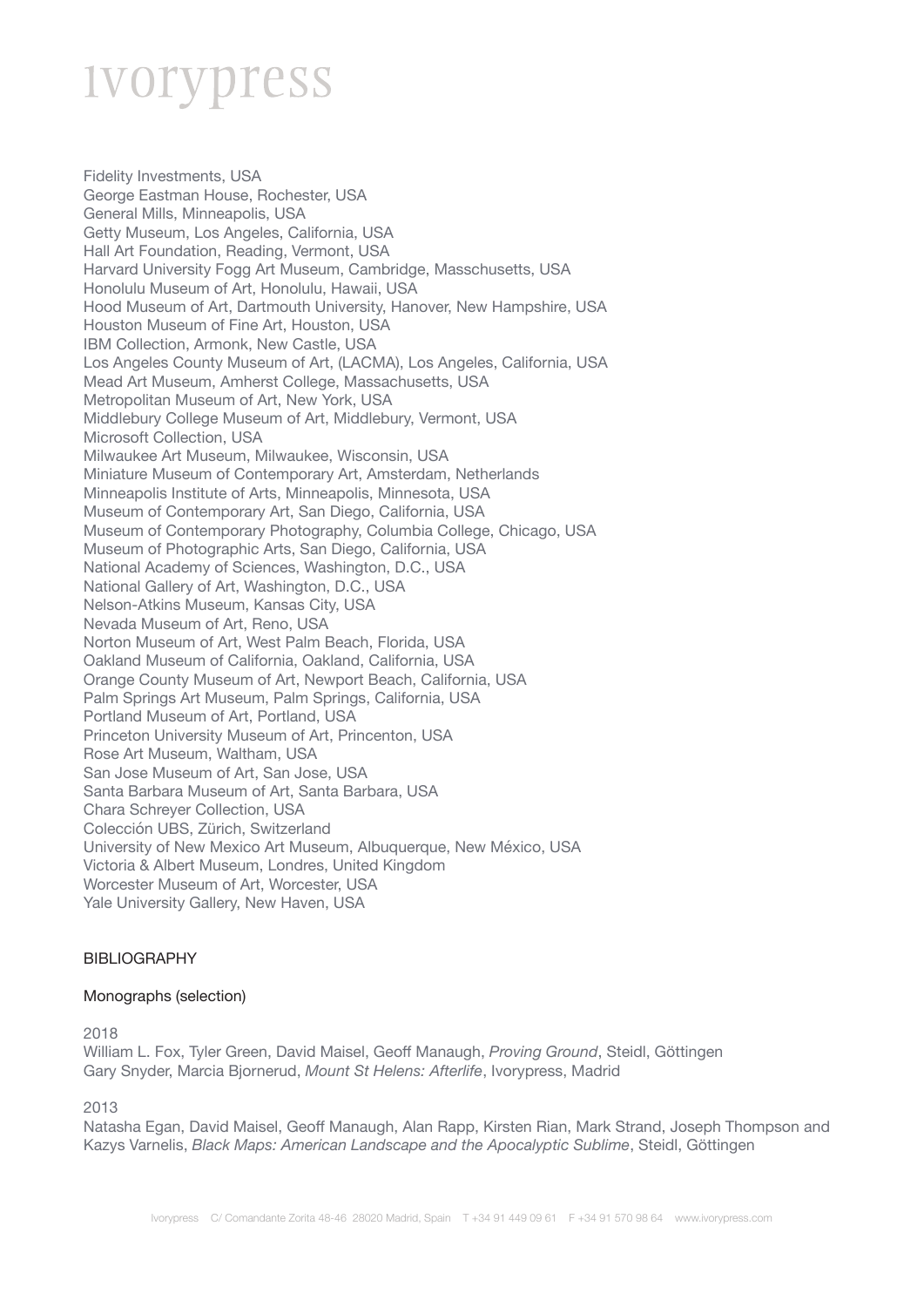Fidelity Investments, USA George Eastman House, Rochester, USA General Mills, Minneapolis, USA Getty Museum, Los Angeles, California, USA Hall Art Foundation, Reading, Vermont, USA Harvard University Fogg Art Museum, Cambridge, Masschusetts, USA Honolulu Museum of Art, Honolulu, Hawaii, USA Hood Museum of Art, Dartmouth University, Hanover, New Hampshire, USA Houston Museum of Fine Art, Houston, USA IBM Collection, Armonk, New Castle, USA Los Angeles County Museum of Art, (LACMA), Los Angeles, California, USA Mead Art Museum, Amherst College, Massachusetts, USA Metropolitan Museum of Art, New York, USA Middlebury College Museum of Art, Middlebury, Vermont, USA Microsoft Collection, USA Milwaukee Art Museum, Milwaukee, Wisconsin, USA Miniature Museum of Contemporary Art, Amsterdam, Netherlands Minneapolis Institute of Arts, Minneapolis, Minnesota, USA Museum of Contemporary Art, San Diego, California, USA Museum of Contemporary Photography, Columbia College, Chicago, USA Museum of Photographic Arts, San Diego, California, USA National Academy of Sciences, Washington, D.C., USA National Gallery of Art, Washington, D.C., USA Nelson-Atkins Museum, Kansas City, USA Nevada Museum of Art, Reno, USA Norton Museum of Art, West Palm Beach, Florida, USA Oakland Museum of California, Oakland, California, USA Orange County Museum of Art, Newport Beach, California, USA Palm Springs Art Museum, Palm Springs, California, USA Portland Museum of Art, Portland, USA Princeton University Museum of Art, Princenton, USA Rose Art Museum, Waltham, USA San Jose Museum of Art, San Jose, USA Santa Barbara Museum of Art, Santa Barbara, USA Chara Schreyer Collection, USA Colección UBS, Zürich, Switzerland University of New Mexico Art Museum, Albuquerque, New México, USA Victoria & Albert Museum, Londres, United Kingdom Worcester Museum of Art, Worcester, USA Yale University Gallery, New Haven, USA

#### BIBLIOGRAPHY

#### Monographs (selection)

2018

William L. Fox, Tyler Green, David Maisel, Geoff Manaugh, *Proving Ground*, Steidl, Göttingen Gary Snyder, Marcia Bjornerud, *Mount St Helens: Afterlife*, Ivorypress, Madrid

2013

Natasha Egan, David Maisel, Geoff Manaugh, Alan Rapp, Kirsten Rian, Mark Strand, Joseph Thompson and Kazys Varnelis, *Black Maps: American Landscape and the Apocalyptic Sublime*, Steidl, Göttingen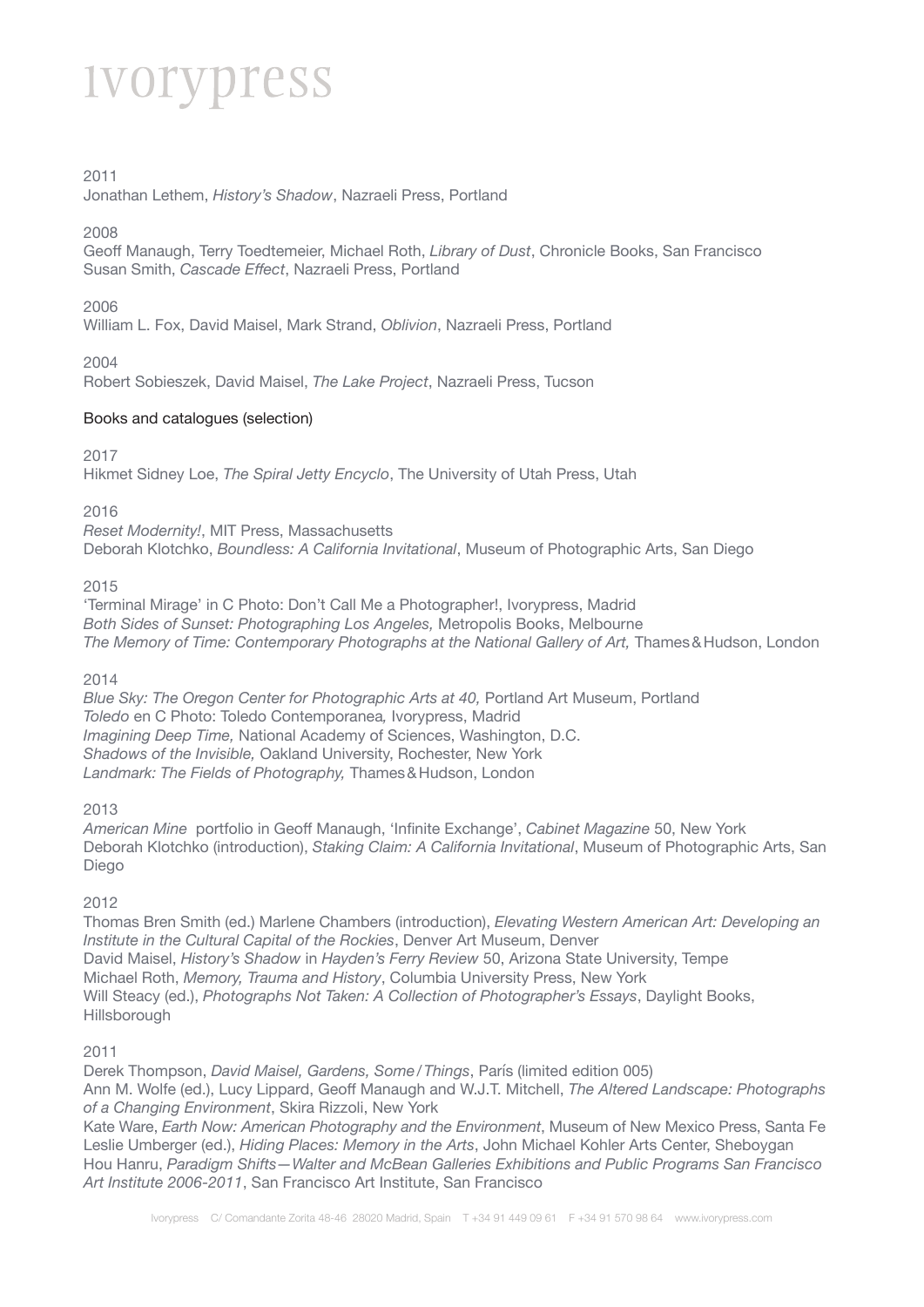#### 2011

Jonathan Lethem, *History's Shadow*, Nazraeli Press, Portland

#### 2008

Geoff Manaugh, Terry Toedtemeier, Michael Roth, *Library of Dust*, Chronicle Books, San Francisco Susan Smith, *Cascade Effect*, Nazraeli Press, Portland

#### 2006

William L. Fox, David Maisel, Mark Strand, *Oblivion*, Nazraeli Press, Portland

#### 2004

Robert Sobieszek, David Maisel, *The Lake Project*, Nazraeli Press, Tucson

#### Books and catalogues (selection)

2017

Hikmet Sidney Loe, *The Spiral Jetty Encyclo*, The University of Utah Press, Utah

2016

*Reset Modernity!*, MIT Press, Massachusetts Deborah Klotchko, *Boundless: A California Invitational*, Museum of Photographic Arts, San Diego

2015

'Terminal Mirage' in C Photo: Don't Call Me a Photographer!, Ivorypress, Madrid *Both Sides of Sunset: Photographing Los Angeles,* Metropolis Books, Melbourne The Memory of Time: Contemporary Photographs at the National Gallery of Art, Thames & Hudson, London

2014

*Blue Sky: The Oregon Center for Photographic Arts at 40, Portland Art Museum, Portland Toledo* en C Photo: Toledo Contemporanea*,* Ivorypress, Madrid *Imagining Deep Time,* National Academy of Sciences, Washington, D.C. *Shadows of the Invisible,* Oakland University, Rochester, New York *Landmark: The Fields of Photography,* Thames&Hudson, London

2013

*American Mine* portfolio in Geoff Manaugh, 'Infinite Exchange', *Cabinet Magazine* 50, New York Deborah Klotchko (introduction), *Staking Claim: A California Invitational*, Museum of Photographic Arts, San Diego

2012

Thomas Bren Smith (ed.) Marlene Chambers (introduction), *Elevating Western American Art: Developing an Institute in the Cultural Capital of the Rockies*, Denver Art Museum, Denver David Maisel, *History's Shadow* in *Hayden's Ferry Review* 50, Arizona State University, Tempe Michael Roth, *Memory, Trauma and History*, Columbia University Press, New York Will Steacy (ed.), *Photographs Not Taken: A Collection of Photographer's Essays*, Daylight Books, Hillsborough

2011

Derek Thompson, *David Maisel, Gardens, Some/Things*, París (limited edition 005) Ann M. Wolfe (ed.), Lucy Lippard, Geoff Manaugh and W.J.T. Mitchell, *The Altered Landscape: Photographs of a Changing Environment*, Skira Rizzoli, New York Kate Ware, *Earth Now: American Photography and the Environment*, Museum of New Mexico Press, Santa Fe

Leslie Umberger (ed.), *Hiding Places: Memory in the Arts*, John Michael Kohler Arts Center, Sheboygan Hou Hanru, *Paradigm Shifts—Walter and McBean Galleries Exhibitions and Public Programs San Francisco Art Institute 2006-2011*, San Francisco Art Institute, San Francisco